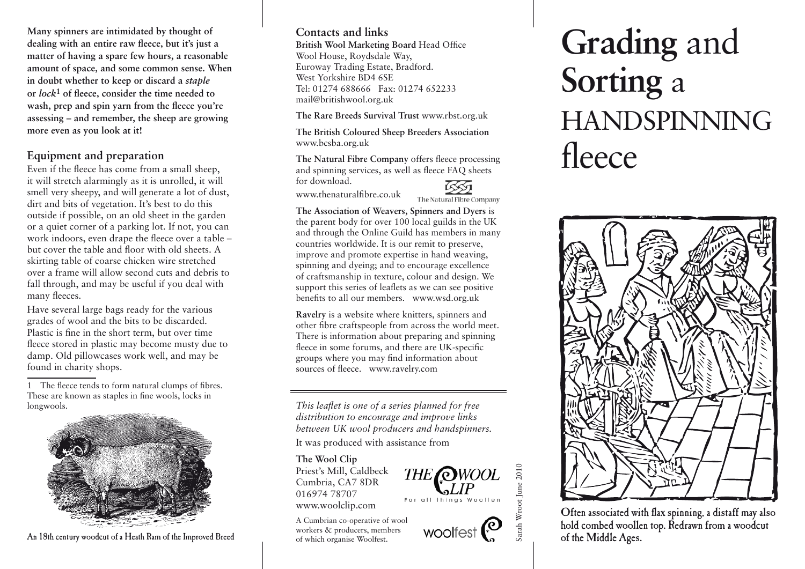**Many spinners are intimidated by thought of dealing with an entire raw fleece, but it's just a matter of having a spare few hours, a reasonable amount of space, and some common sense. When in doubt whether to keep or discard a** *staple* **or** *lock***1 of fleece, consider the time needed to wash, prep and spin yarn from the fleece you're assessing – and remember, the sheep are growing more even as you look at it!**

# **Equipment and preparation**

Even if the fleece has come from a small sheep, it will stretch alarmingly as it is unrolled, it will smell very sheepy, and will generate a lot of dust, dirt and bits of vegetation. It's best to do this outside if possible, on an old sheet in the garden or a quiet corner of a parking lot. If not, you can work indoors, even drape the fleece over a table – but cover the table and floor with old sheets. A skirting table of coarse chicken wire stretched over a frame will allow second cuts and debris to fall through, and may be useful if you deal with many fleeces.

Have several large bags ready for the various grades of wool and the bits to be discarded. Plastic is fine in the short term, but over time fleece stored in plastic may become musty due to damp. Old pillowcases work well, and may be found in charity shops.

1 The fleece tends to form natural clumps of fibres. These are known as staples in fine wools, locks in longwools.



An 18th century woodcut of a Heath Ram of the Improved Breed

# **Contacts and links**

**British Wool Marketing Board** Head Office Wool House, Roydsdale Way, Euroway Trading Estate, Bradford. West Yorkshire BD4 6SE Tel: 01274 688666 Fax: 01274 652233 mail@britishwool.org.uk

**The Rare Breeds Survival Trust** www.rbst.org.uk

**The British Coloured Sheep Breeders Association** www.bcsba.org.uk

**The Natural Fibre Company** offers fleece processing and spinning services, as well as fleece FAQ sheets for download.



www.thenaturalfibre.co.uk

The Natural Fibre Company

**The Association of Weavers, Spinners and Dyers** is the parent body for over 100 local guilds in the UK and through the Online Guild has members in many countries worldwide. It is our remit to preserve, improve and promote expertise in hand weaving, spinning and dyeing; and to encourage excellence of craftsmanship in texture, colour and design. We support this series of leaflets as we can see positive benefits to all our members. www.wsd.org.uk

**Ravelry** is a website where knitters, spinners and other fibre craftspeople from across the world meet. There is information about preparing and spinning fleece in some forums, and there are UK-specific groups where you may find information about sources of fleece. www.ravelry.com

*This leaflet is one of a series planned for free distribution to encourage and improve links between UK wool producers and handspinners.* 

It was produced with assistance from

#### **The Wool Clip**

Priest's Mill, Caldbeck Cumbria, CA7 8DR 016974 78707 www.woolclip.com

A Cumbrian co-operative of wool workers & producers, members of which organise Woolfest.

# **Grading** and **Sorting** a HANDSPINNING fleece



Often associated with flax spinning, a distaff may also hold combed woollen top. Redrawn from a woodcut of the Middle Ages.